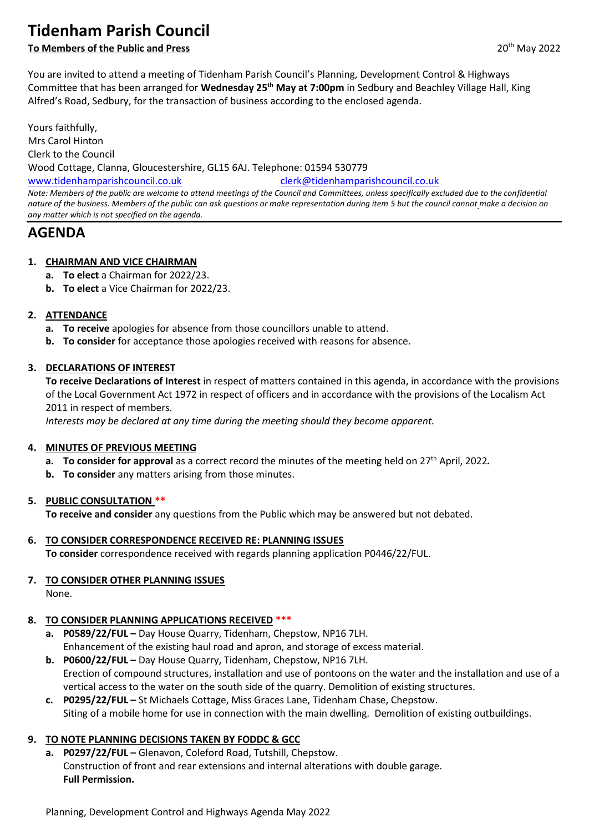# **Tidenham Parish Council**

# **To Members of the Public and Press** 2022

You are invited to attend a meeting of Tidenham Parish Council's Planning, Development Control & Highways Committee that has been arranged for **Wednesday 25th May at 7:00pm** in Sedbury and Beachley Village Hall, King Alfred's Road, Sedbury, for the transaction of business according to the enclosed agenda.

Yours faithfully, Mrs Carol Hinton Clerk to the Council Wood Cottage, Clanna, Gloucestershire, GL15 6AJ. Telephone: 01594 530779 [www.tidenhamparishcouncil.co.uk](http://www.tidenhamparishcouncil.co.uk/) [clerk@tidenhamparishcouncil.co.uk](mailto:clerk@tidenhamparishcouncil.co.uk) *Note: Members of the public are welcome to attend meetings of the Council and Committees, unless specifically excluded due to the confidential nature of the business. Members of the public can ask questions or make representation during item 5 but the council cannot make a decision on any matter which is not specified on the agenda.*

# **AGENDA**

## **1. CHAIRMAN AND VICE CHAIRMAN**

- **a. To elect** a Chairman for 2022/23.
- **b. To elect** a Vice Chairman for 2022/23.

## **2. ATTENDANCE**

- **a. To receive** apologies for absence from those councillors unable to attend.
- **b. To consider** for acceptance those apologies received with reasons for absence.

## **3. DECLARATIONS OF INTEREST**

**To receive Declarations of Interest** in respect of matters contained in this agenda, in accordance with the provisions of the Local Government Act 1972 in respect of officers and in accordance with the provisions of the Localism Act 2011 in respect of members.

*Interests may be declared at any time during the meeting should they become apparent.*

### **4. MINUTES OF PREVIOUS MEETING**

- **a. To consider for approval** as a correct record the minutes of the meeting held on 27 th April, 2022*.*
- **b. To consider** any matters arising from those minutes.

# **5. PUBLIC CONSULTATION \*\***

**To receive and consider** any questions from the Public which may be answered but not debated.

- **6. TO CONSIDER CORRESPONDENCE RECEIVED RE: PLANNING ISSUES To consider** correspondence received with regards planning application P0446/22/FUL.
- **7. TO CONSIDER OTHER PLANNING ISSUES** None.

# **8. TO CONSIDER PLANNING APPLICATIONS RECEIVED \*\*\***

- **a. P0589/22/FUL –** Day House Quarry, Tidenham, Chepstow, NP16 7LH. Enhancement of the existing haul road and apron, and storage of excess material.
- **b. P0600/22/FUL –** Day House Quarry, Tidenham, Chepstow, NP16 7LH. Erection of compound structures, installation and use of pontoons on the water and the installation and use of a vertical access to the water on the south side of the quarry. Demolition of existing structures.
- **c. P0295/22/FUL –** St Michaels Cottage, Miss Graces Lane, Tidenham Chase, Chepstow. Siting of a mobile home for use in connection with the main dwelling. Demolition of existing outbuildings.

# **9. TO NOTE PLANNING DECISIONS TAKEN BY FODDC & GCC**

**a. P0297/22/FUL –** Glenavon, Coleford Road, Tutshill, Chepstow. Construction of front and rear extensions and internal alterations with double garage. **Full Permission.**

Planning, Development Control and Highways Agenda May 2022